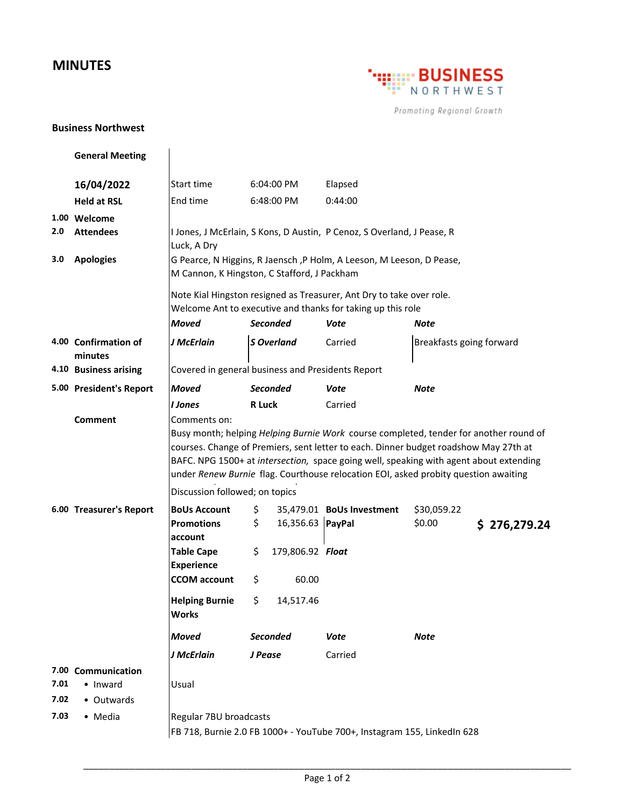## **MINUTES**



Promoting Regional Growth

## **Business Northwest**

**General Meeting 16/04/2022** Start time 6:04:00 PM Elapsed **Held at RSL FREE READ FEE ALSO FEE ALSO FM 6:44:00 1.00 Welcome 2.0 Attendees 3.0 Apologies** *Moved Seconded Vote Note* **4.00 Confirmation of minutes** *J McErlain S Overland* Carried **4.10 Business arising 5.00 President's Report** *Moved Seconded Vote Note I Jones* **R Luck** Carried **Comment 6.00 Treasurer's Report BoUs Account** \$ 35,479.01 **BoUs Investment** \$30,059.22 **Promotions account** \$ 16,356.63 **PayPal** \$0.00 **\$ 276,279.24 Table Cape Experience** \$ 179,806.92 *Float* **CCOM account** \$ 60.00 **Helping Burnie Works** \$ 14,517.46 *Moved Seconded Vote Note J McErlain J Pease* Carried **7.00 Communication 7.01** • Inward **7.02** • Outwards 7.03 • Media **Regular 7BU broadcasts** FB 718, Burnie 2.0 FB 1000+ - YouTube 700+, Instagram 155, LinkedIn 628 Note Kial Hingston resigned as Treasurer, Ant Dry to take over role. Welcome Ant to executive and thanks for taking up this role Usual Covered in general business and Presidents Report Breakfasts going forward Comments on: Busy month; helping *Helping Burnie Work* course completed, tender for another round of courses. Change of Premiers, sent letter to each. Dinner budget roadshow May 27th at BAFC. NPG 1500+ at *intersection,* space going well, speaking with agent about extending under *Renew Burnie* flag. Courthouse relocation EOI, asked probity question awaiting Discussion followed; on topics I Jones, J McErlain, S Kons, D Austin, P Cenoz, S Overland, J Pease, R Luck, A Dry G Pearce, N Higgins, R Jaensch ,P Holm, A Leeson, M Leeson, D Pease, M Cannon, K Hingston, C Stafford, J Packham